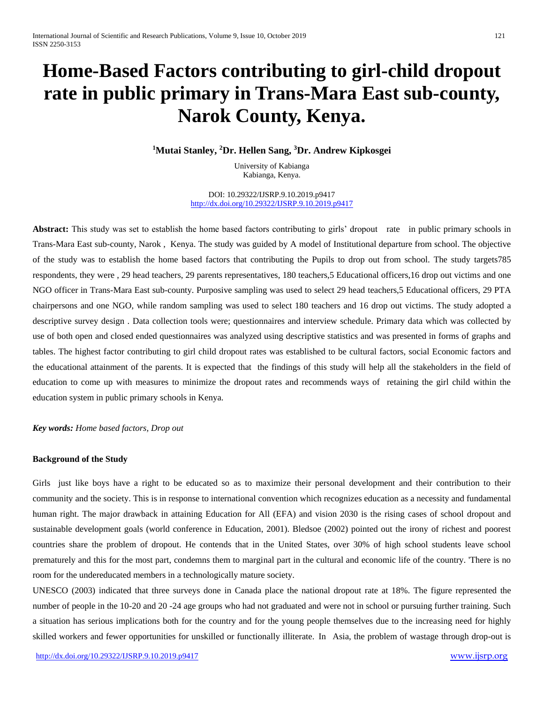# **Home-Based Factors contributing to girl-child dropout rate in public primary in Trans-Mara East sub-county, Narok County, Kenya.**

**<sup>1</sup>Mutai Stanley, <sup>2</sup>Dr. Hellen Sang, <sup>3</sup>Dr. Andrew Kipkosgei**

University of Kabianga Kabianga, Kenya.

DOI: 10.29322/IJSRP.9.10.2019.p9417 <http://dx.doi.org/10.29322/IJSRP.9.10.2019.p9417>

Abstract: This study was set to establish the home based factors contributing to girls' dropout rate in public primary schools in Trans-Mara East sub-county, Narok , Kenya. The study was guided by A model of Institutional departure from school. The objective of the study was to establish the home based factors that contributing the Pupils to drop out from school. The study targets785 respondents, they were , 29 head teachers, 29 parents representatives, 180 teachers,5 Educational officers,16 drop out victims and one NGO officer in Trans-Mara East sub-county. Purposive sampling was used to select 29 head teachers,5 Educational officers, 29 PTA chairpersons and one NGO, while random sampling was used to select 180 teachers and 16 drop out victims. The study adopted a descriptive survey design . Data collection tools were; questionnaires and interview schedule. Primary data which was collected by use of both open and closed ended questionnaires was analyzed using descriptive statistics and was presented in forms of graphs and tables. The highest factor contributing to girl child dropout rates was established to be cultural factors, social Economic factors and the educational attainment of the parents. It is expected that the findings of this study will help all the stakeholders in the field of education to come up with measures to minimize the dropout rates and recommends ways of retaining the girl child within the education system in public primary schools in Kenya.

*Key words: Home based factors, Drop out*

#### **Background of the Study**

Girls just like boys have a right to be educated so as to maximize their personal development and their contribution to their community and the society. This is in response to international convention which recognizes education as a necessity and fundamental human right. The major drawback in attaining Education for All (EFA) and vision 2030 is the rising cases of school dropout and sustainable development goals (world conference in Education, 2001). Bledsoe (2002) pointed out the irony of richest and poorest countries share the problem of dropout. He contends that in the United States, over 30% of high school students leave school prematurely and this for the most part, condemns them to marginal part in the cultural and economic life of the country. 'There is no room for the undereducated members in a technologically mature society.

UNESCO (2003) indicated that three surveys done in Canada place the national dropout rate at 18%. The figure represented the number of people in the 10-20 and 20 -24 age groups who had not graduated and were not in school or pursuing further training. Such a situation has serious implications both for the country and for the young people themselves due to the increasing need for highly skilled workers and fewer opportunities for unskilled or functionally illiterate. In Asia, the problem of wastage through drop-out is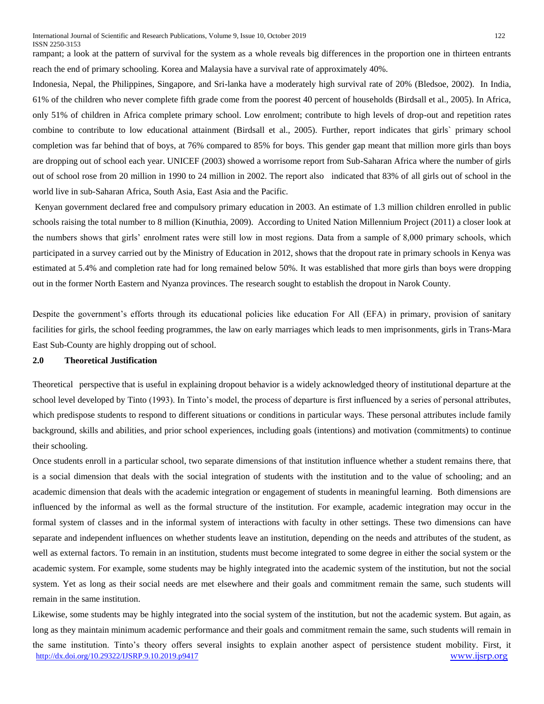rampant; a look at the pattern of survival for the system as a whole reveals big differences in the proportion one in thirteen entrants reach the end of primary schooling. Korea and Malaysia have a survival rate of approximately 40%.

Indonesia, Nepal, the Philippines, Singapore, and Sri-lanka have a moderately high survival rate of 20% (Bledsoe, 2002). In India, 61% of the children who never complete fifth grade come from the poorest 40 percent of households (Birdsall et al., 2005). In Africa, only 51% of children in Africa complete primary school. Low enrolment; contribute to high levels of drop-out and repetition rates combine to contribute to low educational attainment (Birdsall et al., 2005). Further, report indicates that girls` primary school completion was far behind that of boys, at 76% compared to 85% for boys. This gender gap meant that million more girls than boys are dropping out of school each year. UNICEF (2003) showed a worrisome report from Sub-Saharan Africa where the number of girls out of school rose from 20 million in 1990 to 24 million in 2002. The report also indicated that 83% of all girls out of school in the world live in sub-Saharan Africa, South Asia, East Asia and the Pacific.

Kenyan government declared free and compulsory primary education in 2003. An estimate of 1.3 million children enrolled in public schools raising the total number to 8 million (Kinuthia, 2009). According to United Nation Millennium Project (2011) a closer look at the numbers shows that girls' enrolment rates were still low in most regions. Data from a sample of 8,000 primary schools, which participated in a survey carried out by the Ministry of Education in 2012, shows that the dropout rate in primary schools in Kenya was estimated at 5.4% and completion rate had for long remained below 50%. It was established that more girls than boys were dropping out in the former North Eastern and Nyanza provinces. The research sought to establish the dropout in Narok County."

Despite the government's efforts through its educational policies like education For All (EFA) in primary, provision of sanitary facilities for girls, the school feeding programmes, the law on early marriages which leads to men imprisonments, girls in Trans-Mara East Sub-County are highly dropping out of school.

#### **2.0 Theoretical Justification**

Theoretical "perspective that is useful in explaining dropout behavior is a widely acknowledged theory of institutional departure at the school level developed by Tinto (1993). In Tinto's model, the process of departure is first influenced by a series of personal attributes, which predispose students to respond to different situations or conditions in particular ways. These personal attributes include family background, skills and abilities, and prior school experiences, including goals (intentions) and motivation (commitments) to continue their schooling.

Once students enroll in a particular school, two separate dimensions of that institution influence whether a student remains there, that is a social dimension that deals with the social integration of students with the institution and to the value of schooling; and an academic dimension that deals with the academic integration or engagement of students in meaningful learning. Both dimensions are influenced by the informal as well as the formal structure of the institution. For example, academic integration may occur in the formal system of classes and in the informal system of interactions with faculty in other settings. These two dimensions can have separate and independent influences on whether students leave an institution, depending on the needs and attributes of the student, as well as external factors. To remain in an institution, students must become integrated to some degree in either the social system or the academic system. For example, some students may be highly integrated into the academic system of the institution, but not the social system. Yet as long as their social needs are met elsewhere and their goals and commitment remain the same, such students will remain in the same institution.

<http://dx.doi.org/10.29322/IJSRP.9.10.2019.p9417> [www.ijsrp.org](http://ijsrp.org/) Likewise, some students may be highly integrated into the social system of the institution, but not the academic system. But again, as long as they maintain minimum academic performance and their goals and commitment remain the same, such students will remain in the same institution. Tinto's theory offers several insights to explain another aspect of persistence student mobility. First, it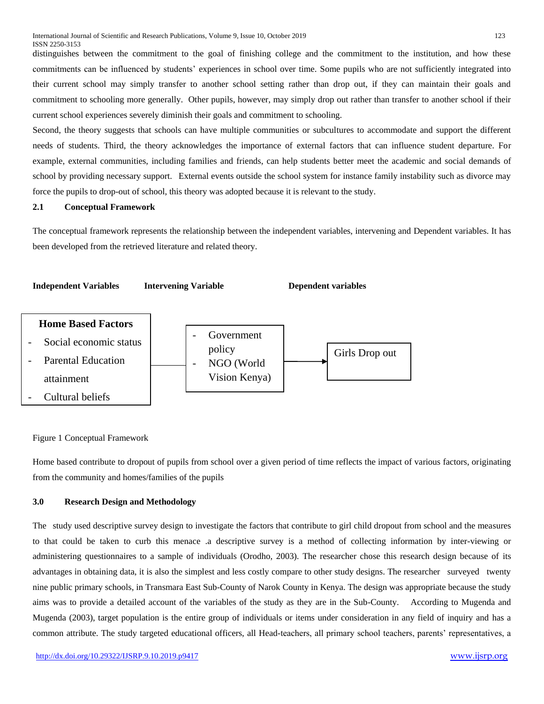distinguishes between the commitment to the goal of finishing college and the commitment to the institution, and how these commitments can be influenced by students' experiences in school over time. Some pupils who are not sufficiently integrated into their current school may simply transfer to another school setting rather than drop out, if they can maintain their goals and commitment to schooling more generally. Other pupils, however, may simply drop out rather than transfer to another school if their current school experiences severely diminish their goals and commitment to schooling.

Second, the theory suggests that schools can have multiple communities or subcultures to accommodate and support the different needs of students. Third, the theory acknowledges the importance of external factors that can influence student departure. For example, external communities, including families and friends, can help students better meet the academic and social demands of school by providing necessary support. External events outside the school system for instance family instability such as divorce may force the pupils to drop-out of school, this theory was adopted because it is relevant to the study.

# **2.1 Conceptual Framework**

The conceptual framework represents the relationship between the independent variables, intervening and Dependent variables. It has been developed from the retrieved literature and related theory.



### Figure 1 Conceptual Framework

Home based contribute to dropout of pupils from school over a given period of time reflects the impact of various factors, originating from the community and homes/families of the pupils

#### **3.0 Research Design and Methodology**

The study used descriptive survey design to investigate the factors that contribute to girl child dropout from school and the measures to that could be taken to curb this menace .a descriptive survey is a method of collecting information by inter-viewing or administering questionnaires to a sample of individuals (Orodho, 2003). The researcher chose this research design because of its advantages in obtaining data, it is also the simplest and less costly compare to other study designs. The researcher surveyed twenty nine public primary schools, in Transmara East Sub-County of Narok County in Kenya. The design was appropriate because the study aims was to provide a detailed account of the variables of the study as they are in the Sub-County. According to Mugenda and Mugenda (2003), target population is the entire group of individuals or items under consideration in any field of inquiry and has a common attribute. The study targeted educational officers, all Head-teachers, all primary school teachers, parents' representatives, a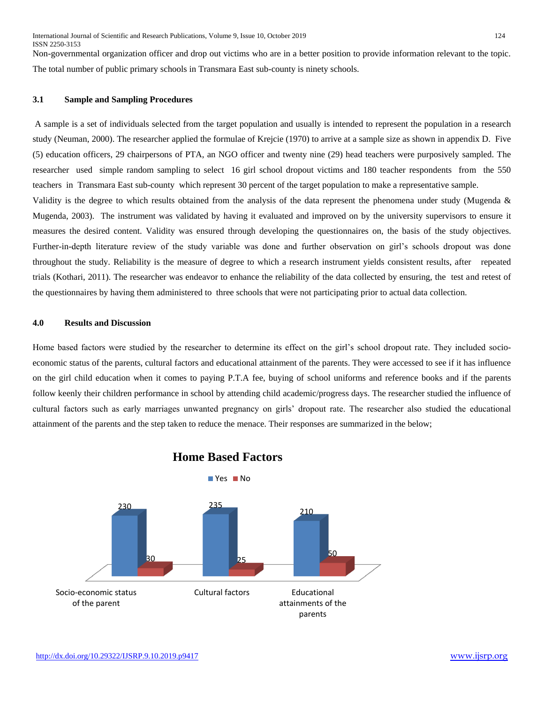Non-governmental organization officer and drop out victims who are in a better position to provide information relevant to the topic. The total number of public primary schools in Transmara East sub-county is ninety schools.

# **3.1 Sample and Sampling Procedures**

A sample is a set of individuals selected from the target population and usually is intended to represent the population in a research study (Neuman, 2000). The researcher applied the formulae of Krejcie (1970) to arrive at a sample size as shown in appendix D. Five (5) education officers, 29 chairpersons of PTA, an NGO officer and twenty nine (29) head teachers were purposively sampled. The researcher used simple random sampling to select 16 girl school dropout victims and 180 teacher respondents from the 550 teachers in Transmara East sub-county which represent 30 percent of the target population to make a representative sample. Validity is the degree to which results obtained from the analysis of the data represent the phenomena under study (Mugenda & Mugenda, 2003). The instrument was validated by having it evaluated and improved on by the university supervisors to ensure it measures the desired content. Validity was ensured through developing the questionnaires on, the basis of the study objectives. Further-in-depth literature review of the study variable was done and further observation on girl's schools dropout was done

throughout the study. Reliability is the measure of degree to which a research instrument yields consistent results, after repeated trials (Kothari, 2011). The researcher was endeavor to enhance the reliability of the data collected by ensuring, the test and retest of the questionnaires by having them administered to three schools that were not participating prior to actual data collection.

# **4.0 Results and Discussion**

Home based factors were studied by the researcher to determine its effect on the girl's school dropout rate. They included socioeconomic status of the parents, cultural factors and educational attainment of the parents. They were accessed to see if it has influence on the girl child education when it comes to paying P.T.A fee, buying of school uniforms and reference books and if the parents follow keenly their children performance in school by attending child academic/progress days. The researcher studied the influence of cultural factors such as early marriages unwanted pregnancy on girls' dropout rate. The researcher also studied the educational attainment of the parents and the step taken to reduce the menace. Their responses are summarized in the below;



# **Home Based Factors**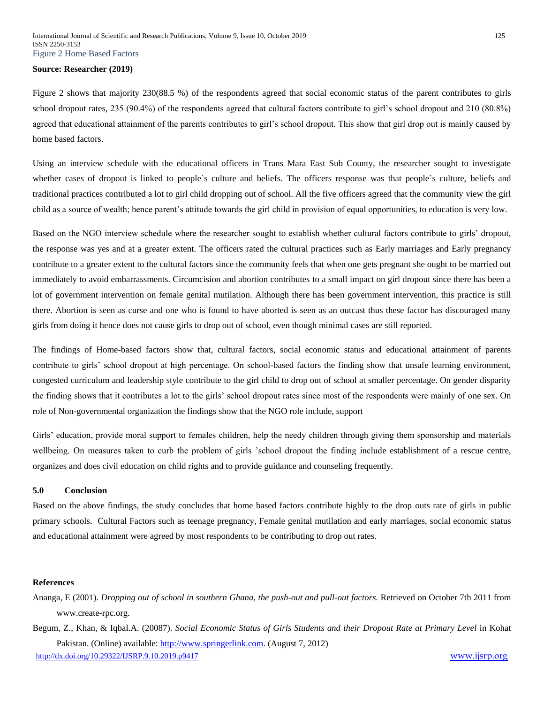#### **Source: Researcher (2019)**

Figure 2 shows that majority 230(88.5 %) of the respondents agreed that social economic status of the parent contributes to girls school dropout rates, 235 (90.4%) of the respondents agreed that cultural factors contribute to girl's school dropout and 210 (80.8%) agreed that educational attainment of the parents contributes to girl's school dropout. This show that girl drop out is mainly caused by home based factors.

Using an interview schedule with the educational officers in Trans Mara East Sub County, the researcher sought to investigate whether cases of dropout is linked to people`s culture and beliefs. The officers response was that people`s culture, beliefs and traditional practices contributed a lot to girl child dropping out of school. All the five officers agreed that the community view the girl child as a source of wealth; hence parent's attitude towards the girl child in provision of equal opportunities, to education is very low.

Based on the NGO interview schedule where the researcher sought to establish whether cultural factors contribute to girls' dropout, the response was yes and at a greater extent. The officers rated the cultural practices such as Early marriages and Early pregnancy contribute to a greater extent to the cultural factors since the community feels that when one gets pregnant she ought to be married out immediately to avoid embarrassments. Circumcision and abortion contributes to a small impact on girl dropout since there has been a lot of government intervention on female genital mutilation. Although there has been government intervention, this practice is still there. Abortion is seen as curse and one who is found to have aborted is seen as an outcast thus these factor has discouraged many girls from doing it hence does not cause girls to drop out of school, even though minimal cases are still reported.

The findings of Home-based factors show that, cultural factors, social economic status and educational attainment of parents contribute to girls' school dropout at high percentage. On school-based factors the finding show that unsafe learning environment, congested curriculum and leadership style contribute to the girl child to drop out of school at smaller percentage. On gender disparity the finding shows that it contributes a lot to the girls' school dropout rates since most of the respondents were mainly of one sex. On role of Non-governmental organization the findings show that the NGO role include, support

Girls' education, provide moral support to females children, help the needy children through giving them sponsorship and materials wellbeing. On measures taken to curb the problem of girls 'school dropout the finding include establishment of a rescue centre, organizes and does civil education on child rights and to provide guidance and counseling frequently.

#### **5.0 Conclusion**

Based on the above findings, the study concludes that home based factors contribute highly to the drop outs rate of girls in public primary schools. Cultural Factors such as teenage pregnancy, Female genital mutilation and early marriages, social economic status and educational attainment were agreed by most respondents to be contributing to drop out rates.

# **References**

- Ananga, E (2001). *Dropping out of school in southern Ghana, the push-out and pull-out factors.* Retrieved on October 7th 2011 from [www.create-rpc.org.](http://www.create-rpc.org/)
- <http://dx.doi.org/10.29322/IJSRP.9.10.2019.p9417> [www.ijsrp.org](http://ijsrp.org/) Begum, Z., Khan, & Iqbal.A. (20087). *Social Economic Status of Girls Students and their Dropout Rate at Primary Level* in Kohat Pakistan. (Online) available: [http://www.springerlink.com.](http://www.springerlink.com/) (August 7, 2012)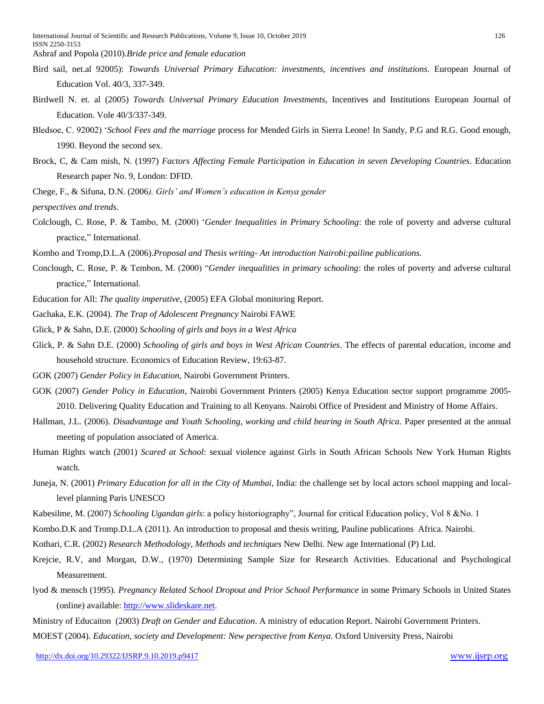Ashraf and Popola (2010).*Bride price and female education*

- Bird sail, net.al 92005): *Towards Universal Primary Education: investments, incentives and institutions*. European Journal of Education Vol. 40/3, 337-349.
- Birdwell N. et. al (2005) *Towards Universal Primary Education Investments*, Incentives and Institutions European Journal of Education. Vole 40/3/337-349.
- Bledsoe, C. 92002) '*School Fees and the marriage* process for Mended Girls in Sierra Leone! In Sandy, P.G and R.G. Good enough, 1990. Beyond the second sex.
- Brock, C, & Cam mish, N. (1997) *Factors Affecting Female Participation in Education in seven Developing Countries*. Education Research paper No. 9, London: DFID.
- Chege, F., & Sifuna, D.N. (2006*). Girls' and Women's education in Kenya gender*

*perspectives and trends.*

- Colclough, C. Rose, P. & Tambo, M. (2000) '*Gender Inequalities in Primary Schooling*: the role of poverty and adverse cultural practice," International.
- Kombo and Tromp,D.L.A (2006).*Proposal and Thesis writing- An introduction Nairobi:pailine publications.*
- Conclough, C. Rose, P. & Tembon, M. (2000) "*Gender inequalities in primary schooling*: the roles of poverty and adverse cultural practice," International.
- Education for All: *The quality imperative*, (2005) EFA Global monitoring Report.
- Gachaka, E.K. (2004). *The Trap of Adolescent Pregnancy* Nairobi FAWE
- Glick, P & Sahn, D.E. (2000) *Schooling of girls and boys in a West Africa*
- Glick, P. & Sahn D.E. (2000) *Schooling of girls and boys in West African Countries*. The effects of parental education, income and household structure. Economics of Education Review, 19:63-87.
- GOK (2007) *Gender Policy in Education*, Nairobi Government Printers.
- GOK (2007) *Gender Policy in Education*, Nairobi Government Printers (2005) Kenya Education sector support programme 2005- 2010. Delivering Quality Education and Training to all Kenyans. Nairobi Office of President and Ministry of Home Affairs.
- Hallman, J.L. (2006). *Disadvantage and Youth Schooling*, *working and child bearing in South Africa*. Paper presented at the annual meeting of population associated of America.
- Human Rights watch (2001) *Scared at School*: sexual violence against Girls in South African Schools New York Human Rights watch.
- Juneja, N. (2001) *Primary Education for all in the City of Mumbai*, India: the challenge set by local actors school mapping and locallevel planning Paris UNESCO
- Kabesilme, M. (2007) *Schooling Ugandan girls*: a policy historiography", Journal for critical Education policy, Vol 8 &No. 1
- Kombo.D.K and Tromp.D.L.A (2011). An introduction to proposal and thesis writing, Pauline publications Africa. Nairobi.
- Kothari, C.R. (2002) *Research Methodology, Methods and techniques* New Delhi. New age International (P) Ltd.
- Krejcie, R.V, and Morgan, D.W., (1970) Determining Sample Size for Research Activities. Educational and Psychological Measurement.
- lyod & mensch (1995). *Pregnancy Related School Dropout and Prior School Performance* in some Primary Schools in United States (online) available: [http://www.slideskare.net.](http://www.slideskare.net/)
- Ministry of Educaiton (2003) *Draft on Gender and Education*. A ministry of education Report. Nairobi Government Printers.
- MOEST (2004). *Education, society and Development: New perspective from Kenya*. Oxford University Press, Nairobi